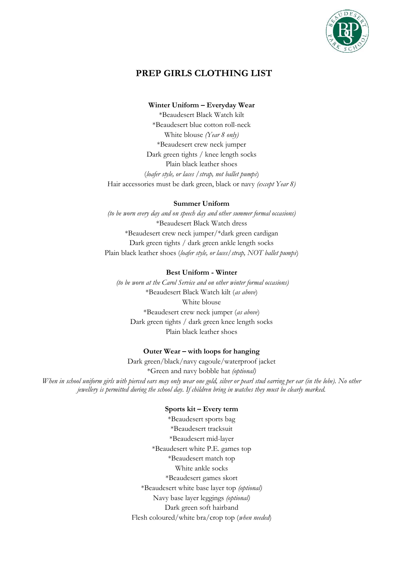

# **PREP GIRLS CLOTHING LIST**

#### **Winter Uniform – Everyday Wear**

\*Beaudesert Black Watch kilt \*Beaudesert blue cotton roll-neck White blouse *(Year 8 only)* \*Beaudesert crew neck jumper Dark green tights / knee length socks Plain black leather shoes (*loafer style, or laces /strap, not ballet pumps*) Hair accessories must be dark green, black or navy *(except Year 8)*

#### **Summer Uniform**

*(to be worn every day and on speech day and other summer formal occasions)* \*Beaudesert Black Watch dress \*Beaudesert crew neck jumper/\*dark green cardigan Dark green tights / dark green ankle length socks Plain black leather shoes (*loafer style, or laces/strap, NOT ballet pumps*)

### **Best Uniform - Winter**

*(to be worn at the Carol Service and on other winter formal occasions)* \*Beaudesert Black Watch kilt (*as above*) White blouse \*Beaudesert crew neck jumper (*as above*) Dark green tights / dark green knee length socks Plain black leather shoes

### **Outer Wear – with loops for hanging**

Dark green/black/navy cagoule/waterproof jacket \*Green and navy bobble hat *(optional) When in school uniform girls with pierced ears may only wear one gold, silver or pearl stud earring per ear (in the lobe). No other jewellery is permitted during the school day. If children bring in watches they must be clearly marked.*

#### **Sports kit – Every term**

\*Beaudesert sports bag \*Beaudesert tracksuit \*Beaudesert mid-layer \*Beaudesert white P.E. games top \*Beaudesert match top White ankle socks \*Beaudesert games skort \*Beaudesert white base layer top *(optional)* Navy base layer leggings *(optional)* Dark green soft hairband Flesh coloured/white bra/crop top (*when needed*)